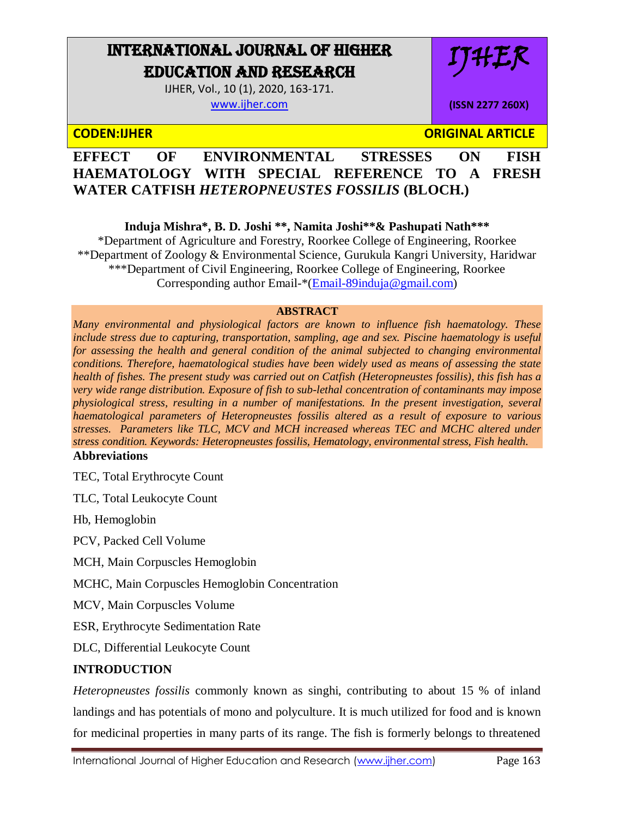# INTERNATIONAL JOURNAL OF HIGHER EDUCATION AND RESEARCH

IJHER, Vol., 10 (1), 2020, 163-171. [www.ijher.com](http://www.ijher.com/)

IJHER

**(ISSN 2277 260X)**

**CODEN:IJHER ORIGINAL ARTICLE** 

## **EFFECT OF ENVIRONMENTAL STRESSES ON FISH HAEMATOLOGY WITH SPECIAL REFERENCE TO A FRESH WATER CATFISH** *HETEROPNEUSTES FOSSILIS* **(BLOCH.)**

**Induja Mishra\*, B. D. Joshi \*\*, Namita Joshi\*\*& Pashupati Nath\*\*\***

\*Department of Agriculture and Forestry, Roorkee College of Engineering, Roorkee \*\*Department of Zoology & Environmental Science, Gurukula Kangri University, Haridwar \*\*\*Department of Civil Engineering, Roorkee College of Engineering, Roorkee Corresponding author Email-\*[\(Email-89induja@gmail.com\)](mailto:Email-89induja@gmail.com)

#### **ABSTRACT**

*Many environmental and physiological factors are known to influence fish haematology. These include stress due to capturing, transportation, sampling, age and sex. Piscine haematology is useful*  for assessing the health and general condition of the animal subjected to changing environmental *conditions. Therefore, haematological studies have been widely used as means of assessing the state health of fishes. The present study was carried out on Catfish (Heteropneustes fossilis), this fish has a very wide range distribution. Exposure of fish to sub-lethal concentration of contaminants may impose physiological stress, resulting in a number of manifestations. In the present investigation, several haematological parameters of Heteropneustes fossilis altered as a result of exposure to various stresses. Parameters like TLC, MCV and MCH increased whereas TEC and MCHC altered under stress condition. Keywords: Heteropneustes fossilis, Hematology, environmental stress, Fish health.* **Abbreviations** 

TEC, Total Erythrocyte Count

TLC, Total Leukocyte Count

Hb, Hemoglobin

PCV, Packed Cell Volume

MCH, Main Corpuscles Hemoglobin

MCHC, Main Corpuscles Hemoglobin Concentration

MCV, Main Corpuscles Volume

ESR, Erythrocyte Sedimentation Rate

DLC, Differential Leukocyte Count

### **INTRODUCTION**

*Heteropneustes fossilis* commonly known as singhi, contributing to about 15 % of inland landings and has potentials of mono and polyculture. It is much utilized for food and is known for medicinal properties in many parts of its range. The fish is formerly belongs to threatened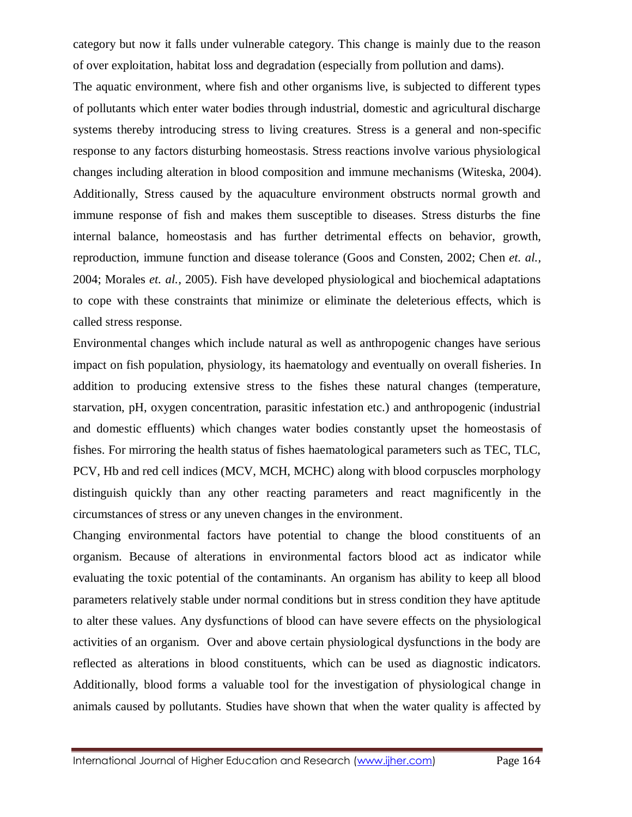category but now it falls under vulnerable category. This change is mainly due to the reason of over exploitation, habitat loss and degradation (especially from pollution and dams).

The aquatic environment, where fish and other organisms live, is subjected to different types of pollutants which enter water bodies through industrial, domestic and agricultural discharge systems thereby introducing stress to living creatures. Stress is a general and non-specific response to any factors disturbing homeostasis. Stress reactions involve various physiological changes including alteration in blood composition and immune mechanisms (Witeska, 2004). Additionally, Stress caused by the aquaculture environment obstructs normal growth and immune response of fish and makes them susceptible to diseases. Stress disturbs the fine internal balance, homeostasis and has further detrimental effects on behavior, growth, reproduction, immune function and disease tolerance (Goos and Consten, 2002; Chen *et. al.,*  2004; Morales *et. al.,* 2005). Fish have developed physiological and biochemical adaptations to cope with these constraints that minimize or eliminate the deleterious effects, which is called stress response.

Environmental changes which include natural as well as anthropogenic changes have serious impact on fish population, physiology, its haematology and eventually on overall fisheries. In addition to producing extensive stress to the fishes these natural changes (temperature, starvation, pH, oxygen concentration, parasitic infestation etc.) and anthropogenic (industrial and domestic effluents) which changes water bodies constantly upset the homeostasis of fishes. For mirroring the health status of fishes haematological parameters such as TEC, TLC, PCV, Hb and red cell indices (MCV, MCH, MCHC) along with blood corpuscles morphology distinguish quickly than any other reacting parameters and react magnificently in the circumstances of stress or any uneven changes in the environment.

Changing environmental factors have potential to change the blood constituents of an organism. Because of alterations in environmental factors blood act as indicator while evaluating the toxic potential of the contaminants. An organism has ability to keep all blood parameters relatively stable under normal conditions but in stress condition they have aptitude to alter these values. Any dysfunctions of blood can have severe effects on the physiological activities of an organism. Over and above certain physiological dysfunctions in the body are reflected as alterations in blood constituents, which can be used as diagnostic indicators. Additionally, blood forms a valuable tool for the investigation of physiological change in animals caused by pollutants. Studies have shown that when the water quality is affected by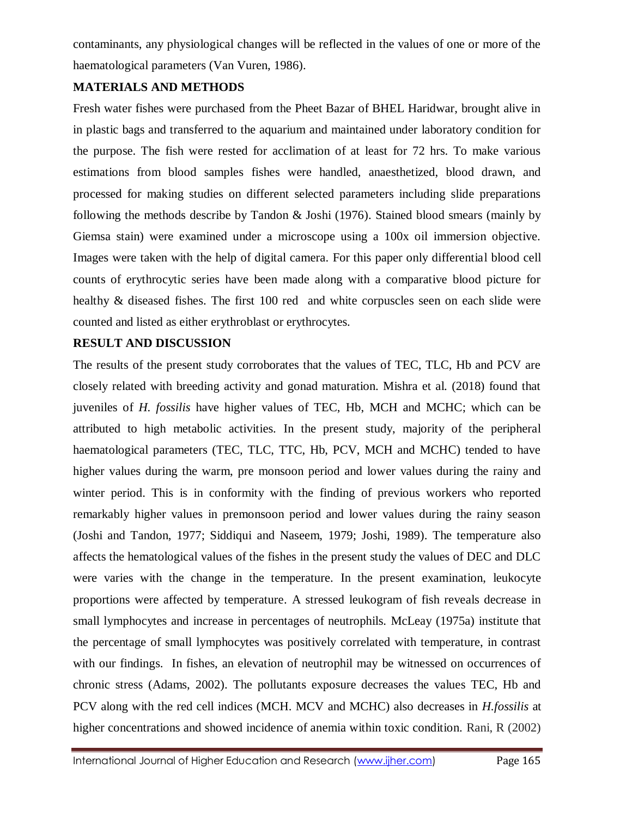contaminants, any physiological changes will be reflected in the values of one or more of the haematological parameters (Van Vuren, 1986).

#### **MATERIALS AND METHODS**

Fresh water fishes were purchased from the Pheet Bazar of BHEL Haridwar, brought alive in in plastic bags and transferred to the aquarium and maintained under laboratory condition for the purpose. The fish were rested for acclimation of at least for 72 hrs. To make various estimations from blood samples fishes were handled, anaesthetized, blood drawn, and processed for making studies on different selected parameters including slide preparations following the methods describe by Tandon & Joshi (1976). Stained blood smears (mainly by Giemsa stain) were examined under a microscope using a 100x oil immersion objective. Images were taken with the help of digital camera. For this paper only differential blood cell counts of erythrocytic series have been made along with a comparative blood picture for healthy & diseased fishes. The first 100 red and white corpuscles seen on each slide were counted and listed as either erythroblast or erythrocytes.

#### **RESULT AND DISCUSSION**

The results of the present study corroborates that the values of TEC, TLC, Hb and PCV are closely related with breeding activity and gonad maturation. Mishra et al. (2018) found that juveniles of *H. fossilis* have higher values of TEC, Hb, MCH and MCHC; which can be attributed to high metabolic activities. In the present study, majority of the peripheral haematological parameters (TEC, TLC, TTC, Hb, PCV, MCH and MCHC) tended to have higher values during the warm, pre monsoon period and lower values during the rainy and winter period. This is in conformity with the finding of previous workers who reported remarkably higher values in premonsoon period and lower values during the rainy season (Joshi and Tandon, 1977; Siddiqui and Naseem, 1979; Joshi, 1989). The temperature also affects the hematological values of the fishes in the present study the values of DEC and DLC were varies with the change in the temperature. In the present examination, leukocyte proportions were affected by temperature. A stressed leukogram of fish reveals decrease in small lymphocytes and increase in percentages of neutrophils. McLeay (1975a) institute that the percentage of small lymphocytes was positively correlated with temperature, in contrast with our findings. In fishes, an elevation of neutrophil may be witnessed on occurrences of chronic stress (Adams, 2002). The pollutants exposure decreases the values TEC, Hb and PCV along with the red cell indices (MCH. MCV and MCHC) also decreases in *H.fossilis* at higher concentrations and showed incidence of anemia within toxic condition. Rani, R (2002)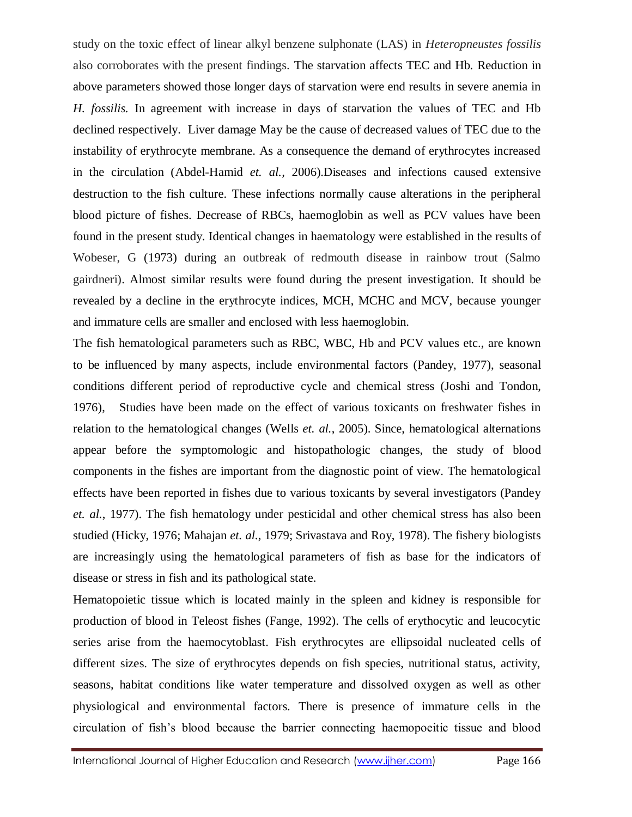study on the toxic effect of linear alkyl benzene sulphonate (LAS) in *Heteropneustes fossilis* also corroborates with the present findings. The starvation affects TEC and Hb. Reduction in above parameters showed those longer days of starvation were end results in severe anemia in *H. fossilis.* In agreement with increase in days of starvation the values of TEC and Hb declined respectively. Liver damage May be the cause of decreased values of TEC due to the instability of erythrocyte membrane. As a consequence the demand of erythrocytes increased in the circulation (Abdel-Hamid *et. al.,* 2006).Diseases and infections caused extensive destruction to the fish culture. These infections normally cause alterations in the peripheral blood picture of fishes. Decrease of RBCs, haemoglobin as well as PCV values have been found in the present study. Identical changes in haematology were established in the results of Wobeser, G (1973) during an outbreak of redmouth disease in rainbow trout (Salmo gairdneri). Almost similar results were found during the present investigation. It should be revealed by a decline in the erythrocyte indices, MCH, MCHC and MCV, because younger and immature cells are smaller and enclosed with less haemoglobin.

The fish hematological parameters such as RBC, WBC, Hb and PCV values etc., are known to be influenced by many aspects, include environmental factors (Pandey, 1977), seasonal conditions different period of reproductive cycle and chemical stress (Joshi and Tondon, 1976), Studies have been made on the effect of various toxicants on freshwater fishes in relation to the hematological changes (Wells *et. al.*, 2005). Since, hematological alternations appear before the symptomologic and histopathologic changes, the study of blood components in the fishes are important from the diagnostic point of view. The hematological effects have been reported in fishes due to various toxicants by several investigators (Pandey *et. al.*, 1977). The fish hematology under pesticidal and other chemical stress has also been studied (Hicky, 1976; Mahajan *et. al.*, 1979; Srivastava and Roy, 1978). The fishery biologists are increasingly using the hematological parameters of fish as base for the indicators of disease or stress in fish and its pathological state.

Hematopoietic tissue which is located mainly in the spleen and kidney is responsible for production of blood in Teleost fishes (Fange, 1992). The cells of erythocytic and leucocytic series arise from the haemocytoblast. Fish erythrocytes are ellipsoidal nucleated cells of different sizes. The size of erythrocytes depends on fish species, nutritional status, activity, seasons, habitat conditions like water temperature and dissolved oxygen as well as other physiological and environmental factors. There is presence of immature cells in the circulation of fish's blood because the barrier connecting haemopoeitic tissue and blood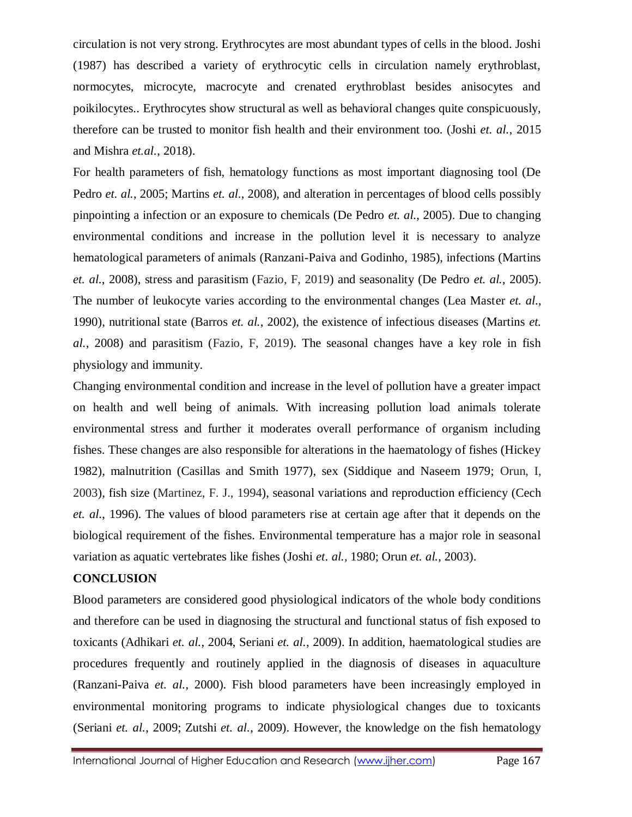circulation is not very strong. Erythrocytes are most abundant types of cells in the blood. Joshi (1987) has described a variety of erythrocytic cells in circulation namely erythroblast, normocytes, microcyte, macrocyte and crenated erythroblast besides anisocytes and poikilocytes.. Erythrocytes show structural as well as behavioral changes quite conspicuously, therefore can be trusted to monitor fish health and their environment too. (Joshi *et. al.*, 2015 and Mishra *et.al.*, 2018).

For health parameters of fish, hematology functions as most important diagnosing tool (De Pedro *et. al.*, 2005; Martins *et. al.*, 2008), and alteration in percentages of blood cells possibly pinpointing a infection or an exposure to chemicals (De Pedro *et. al.*, 2005). Due to changing environmental conditions and increase in the pollution level it is necessary to analyze hematological parameters of animals (Ranzani-Paiva and Godinho, 1985), infections (Martins *et. al.*, 2008), stress and parasitism (Fazio, F, 2019) and seasonality (De Pedro *et. al.*, 2005). The number of leukocyte varies according to the environmental changes (Lea Master *et. al.*, 1990), nutritional state (Barros *et. al.*, 2002), the existence of infectious diseases (Martins *et. al.*, 2008) and parasitism (Fazio, F, 2019). The seasonal changes have a key role in fish physiology and immunity.

Changing environmental condition and increase in the level of pollution have a greater impact on health and well being of animals. With increasing pollution load animals tolerate environmental stress and further it moderates overall performance of organism including fishes. These changes are also responsible for alterations in the haematology of fishes (Hickey 1982), malnutrition (Casillas and Smith 1977), sex (Siddique and Naseem 1979; Orun, I, 2003), fish size (Martinez, F. J., 1994), seasonal variations and reproduction efficiency (Cech *et. al.*, 1996). The values of blood parameters rise at certain age after that it depends on the biological requirement of the fishes. Environmental temperature has a major role in seasonal variation as aquatic vertebrates like fishes (Joshi *et. al.,* 1980; Orun *et. al.*, 2003).

#### **CONCLUSION**

Blood parameters are considered good physiological indicators of the whole body conditions and therefore can be used in diagnosing the structural and functional status of fish exposed to toxicants (Adhikari *et. al.*, 2004, Seriani *et. al.*, 2009). In addition, haematological studies are procedures frequently and routinely applied in the diagnosis of diseases in aquaculture (Ranzani-Paiva *et. al.*, 2000). Fish blood parameters have been increasingly employed in environmental monitoring programs to indicate physiological changes due to toxicants (Seriani *et. al.*, 2009; Zutshi *et. al.*, 2009). However, the knowledge on the fish hematology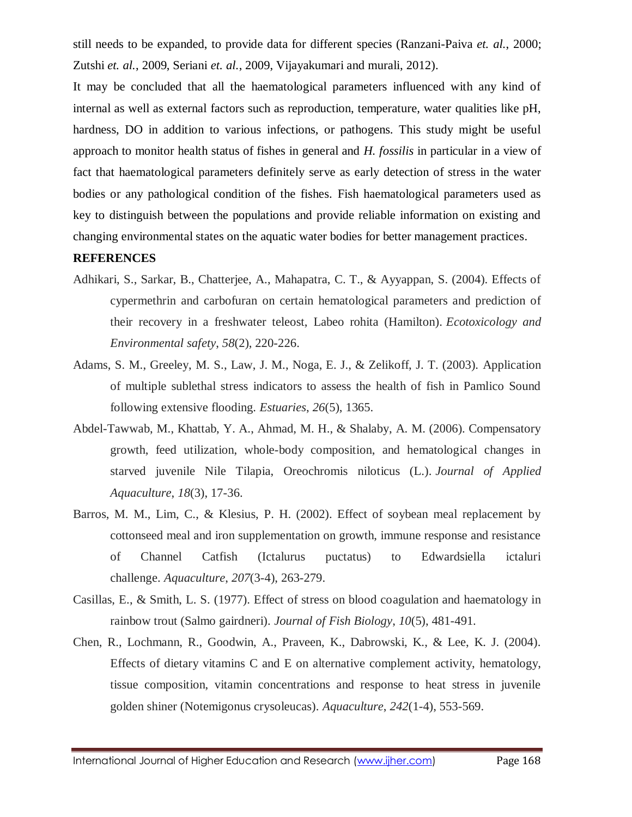still needs to be expanded, to provide data for different species (Ranzani-Paiva *et. al.*, 2000; Zutshi *et. al.*, 2009, Seriani *et. al.*, 2009, Vijayakumari and murali, 2012).

It may be concluded that all the haematological parameters influenced with any kind of internal as well as external factors such as reproduction, temperature, water qualities like pH, hardness, DO in addition to various infections, or pathogens. This study might be useful approach to monitor health status of fishes in general and *H. fossilis* in particular in a view of fact that haematological parameters definitely serve as early detection of stress in the water bodies or any pathological condition of the fishes. Fish haematological parameters used as key to distinguish between the populations and provide reliable information on existing and changing environmental states on the aquatic water bodies for better management practices.

#### **REFERENCES**

- Adhikari, S., Sarkar, B., Chatterjee, A., Mahapatra, C. T., & Ayyappan, S. (2004). Effects of cypermethrin and carbofuran on certain hematological parameters and prediction of their recovery in a freshwater teleost, Labeo rohita (Hamilton). *Ecotoxicology and Environmental safety*, *58*(2), 220-226.
- Adams, S. M., Greeley, M. S., Law, J. M., Noga, E. J., & Zelikoff, J. T. (2003). Application of multiple sublethal stress indicators to assess the health of fish in Pamlico Sound following extensive flooding. *Estuaries*, *26*(5), 1365.
- Abdel-Tawwab, M., Khattab, Y. A., Ahmad, M. H., & Shalaby, A. M. (2006). Compensatory growth, feed utilization, whole-body composition, and hematological changes in starved juvenile Nile Tilapia, Oreochromis niloticus (L.). *Journal of Applied Aquaculture*, *18*(3), 17-36.
- Barros, M. M., Lim, C., & Klesius, P. H. (2002). Effect of soybean meal replacement by cottonseed meal and iron supplementation on growth, immune response and resistance of Channel Catfish (Ictalurus puctatus) to Edwardsiella ictaluri challenge. *Aquaculture*, *207*(3-4), 263-279.
- Casillas, E., & Smith, L. S. (1977). Effect of stress on blood coagulation and haematology in rainbow trout (Salmo gairdneri). *Journal of Fish Biology*, *10*(5), 481-491.
- Chen, R., Lochmann, R., Goodwin, A., Praveen, K., Dabrowski, K., & Lee, K. J. (2004). Effects of dietary vitamins C and E on alternative complement activity, hematology, tissue composition, vitamin concentrations and response to heat stress in juvenile golden shiner (Notemigonus crysoleucas). *Aquaculture*, *242*(1-4), 553-569.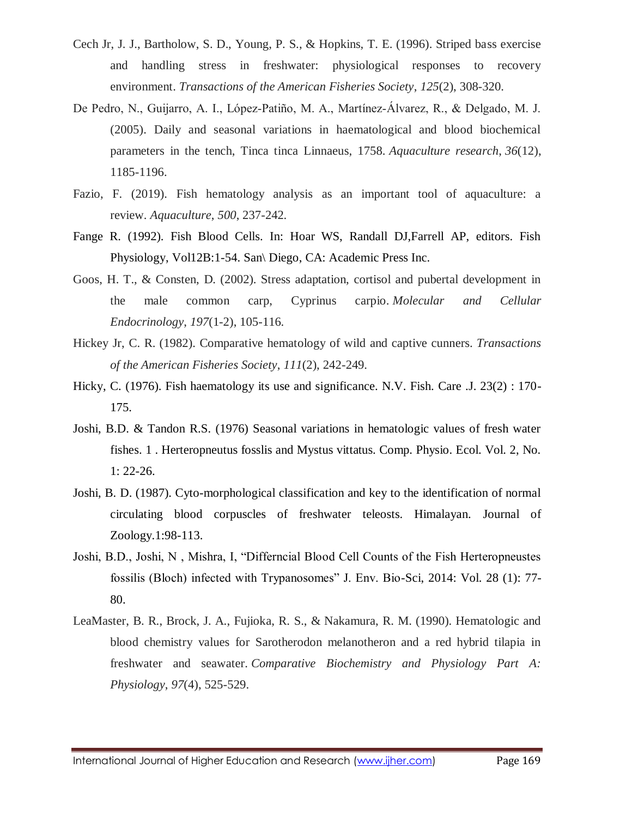- Cech Jr, J. J., Bartholow, S. D., Young, P. S., & Hopkins, T. E. (1996). Striped bass exercise and handling stress in freshwater: physiological responses to recovery environment. *Transactions of the American Fisheries Society*, *125*(2), 308-320.
- De Pedro, N., Guijarro, A. I., López‐Patiño, M. A., Martínez‐Álvarez, R., & Delgado, M. J. (2005). Daily and seasonal variations in haematological and blood biochemical parameters in the tench, Tinca tinca Linnaeus, 1758. *Aquaculture research*, *36*(12), 1185-1196.
- Fazio, F. (2019). Fish hematology analysis as an important tool of aquaculture: a review. *Aquaculture*, *500*, 237-242.
- Fange R. (1992). Fish Blood Cells. In: Hoar WS, Randall DJ,Farrell AP, editors. Fish Physiology, Vol12B:1-54. San\ Diego, CA: Academic Press Inc.
- Goos, H. T., & Consten, D. (2002). Stress adaptation, cortisol and pubertal development in the male common carp, Cyprinus carpio. *Molecular and Cellular Endocrinology*, *197*(1-2), 105-116.
- Hickey Jr, C. R. (1982). Comparative hematology of wild and captive cunners. *Transactions of the American Fisheries Society*, *111*(2), 242-249.
- Hicky, C. (1976). Fish haematology its use and significance. N.V. Fish. Care .J. 23(2): 170-175.
- Joshi, B.D. & Tandon R.S. (1976) Seasonal variations in hematologic values of fresh water fishes. 1 . Herteropneutus fosslis and Mystus vittatus. Comp. Physio. Ecol. Vol. 2, No. 1: 22-26.
- Joshi, B. D. (1987). Cyto-morphological classification and key to the identification of normal circulating blood corpuscles of freshwater teleosts. Himalayan. Journal of Zoology.1:98-113.
- Joshi, B.D., Joshi, N , Mishra, I, "Differncial Blood Cell Counts of the Fish Herteropneustes fossilis (Bloch) infected with Trypanosomes" J. Env. Bio-Sci, 2014: Vol. 28 (1): 77- 80.
- LeaMaster, B. R., Brock, J. A., Fujioka, R. S., & Nakamura, R. M. (1990). Hematologic and blood chemistry values for Sarotherodon melanotheron and a red hybrid tilapia in freshwater and seawater. *Comparative Biochemistry and Physiology Part A: Physiology*, *97*(4), 525-529.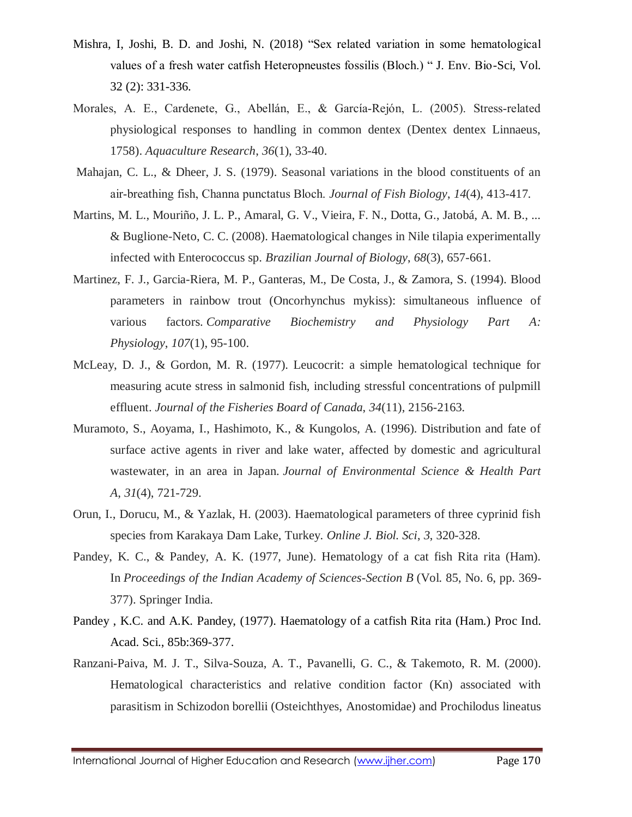- Mishra, I, Joshi, B. D. and Joshi, N. (2018) "Sex related variation in some hematological values of a fresh water catfish Heteropneustes fossilis (Bloch.) " J. Env. Bio-Sci, Vol. 32 (2): 331-336.
- Morales, A. E., Cardenete, G., Abellán, E., & García-Rejón, L. (2005). Stress-related physiological responses to handling in common dentex (Dentex dentex Linnaeus, 1758). *Aquaculture Research*, *36*(1), 33-40.
- Mahajan, C. L., & Dheer, J. S. (1979). Seasonal variations in the blood constituents of an air‐breathing fish, Channa punctatus Bloch. *Journal of Fish Biology*, *14*(4), 413-417.
- Martins, M. L., Mouriño, J. L. P., Amaral, G. V., Vieira, F. N., Dotta, G., Jatobá, A. M. B., ... & Buglione-Neto, C. C. (2008). Haematological changes in Nile tilapia experimentally infected with Enterococcus sp. *Brazilian Journal of Biology*, *68*(3), 657-661.
- Martinez, F. J., Garcia-Riera, M. P., Ganteras, M., De Costa, J., & Zamora, S. (1994). Blood parameters in rainbow trout (Oncorhynchus mykiss): simultaneous influence of various factors. *Comparative Biochemistry and Physiology Part A: Physiology*, *107*(1), 95-100.
- McLeay, D. J., & Gordon, M. R. (1977). Leucocrit: a simple hematological technique for measuring acute stress in salmonid fish, including stressful concentrations of pulpmill effluent. *Journal of the Fisheries Board of Canada*, *34*(11), 2156-2163.
- Muramoto, S., Aoyama, I., Hashimoto, K., & Kungolos, A. (1996). Distribution and fate of surface active agents in river and lake water, affected by domestic and agricultural wastewater, in an area in Japan. *Journal of Environmental Science & Health Part A*, *31*(4), 721-729.
- Orun, I., Dorucu, M., & Yazlak, H. (2003). Haematological parameters of three cyprinid fish species from Karakaya Dam Lake, Turkey. *Online J. Biol. Sci*, *3*, 320-328.
- Pandey, K. C., & Pandey, A. K. (1977, June). Hematology of a cat fish Rita rita (Ham). In *Proceedings of the Indian Academy of Sciences-Section B* (Vol. 85, No. 6, pp. 369- 377). Springer India.
- Pandey , K.C. and A.K. Pandey, (1977). Haematology of a catfish Rita rita (Ham.) Proc Ind. Acad. Sci., 85b:369-377.
- Ranzani-Paiva, M. J. T., Silva-Souza, A. T., Pavanelli, G. C., & Takemoto, R. M. (2000). Hematological characteristics and relative condition factor (Kn) associated with parasitism in Schizodon borellii (Osteichthyes, Anostomidae) and Prochilodus lineatus